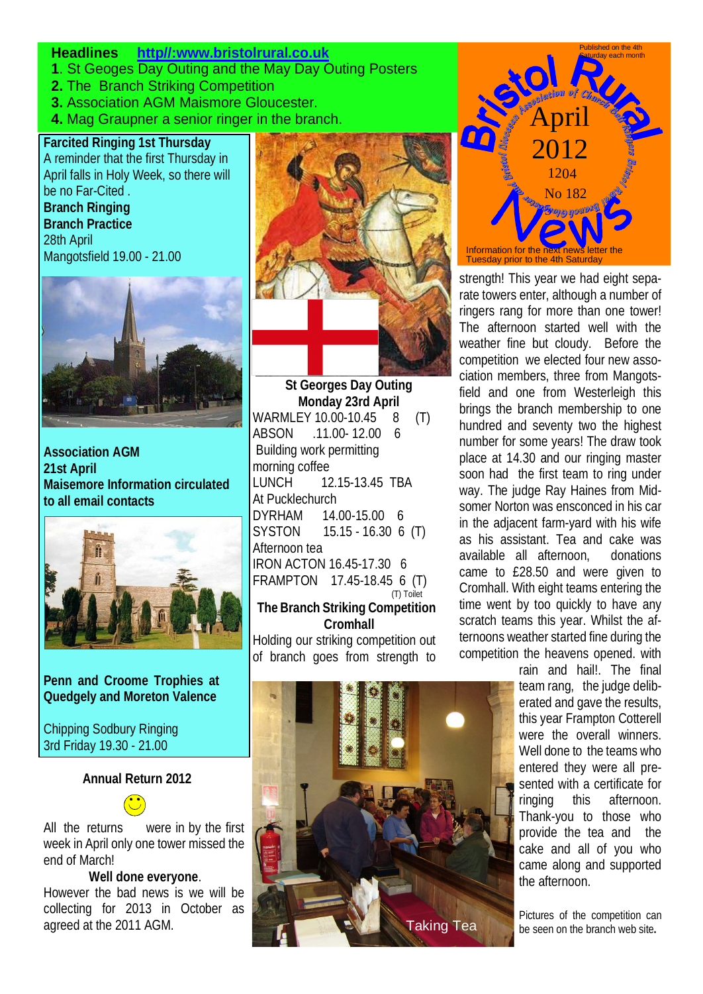### **Headlines http//:www.bristolrural.co.uk**

- **1**. St Geoges Day Outing and the May Day Outing Posters
- **2.** The Branch Striking Competition
- **3.** Association AGM Maismore Gloucester.
- **4.** Mag Graupner a senior ringer in the branch.

**Farcited Ringing 1st Thursday** A reminder that the first Thursday in April falls in Holy Week, so there will be no Far-Cited .

**Branch Ringing Branch Practice** 28th April Mangotsfield 19.00 - 21.00



**Association AGM 21st April Maisemore Information circulated to all email contacts**



**Penn and Croome Trophies at Quedgely and Moreton Valence**

Chipping Sodbury Ringing 3rd Friday 19.30 - 21.00

Ī

#### **Annual Return 2012**



#### **Well done everyone**.

However the bad news is we will be collecting for 2013 in October as agreed at the 2011 AGM.



 **St Georges Day Outing Monday 23rd April** WARMLEY 10.00-10.45 8 (T) ABSON .11.00- 12.00 6 Building work permitting morning coffee LUNCH 12.15-13.45 TBA At Pucklechurch DYRHAM 14.00-15.00 6 SYSTON 15.15 - 16.30 6 (T) Afternoon tea IRON ACTON 16.45-17.30 6 FRAMPTON 17.45-18.45 6 (T) (T) Toilet

### **The Branch Striking Competition Cromhall**

Holding our striking competition out of branch goes from strength to





strength! This year we had eight separate towers enter, although a number of ringers rang for more than one tower! The afternoon started well with the weather fine but cloudy. Before the competition we elected four new association members, three from Mangotsfield and one from Westerleigh this brings the branch membership to one hundred and seventy two the highest number for some years! The draw took place at 14.30 and our ringing master soon had the first team to ring under way. The judge Ray Haines from Midsomer Norton was ensconced in his car in the adjacent farm-yard with his wife as his assistant. Tea and cake was available all afternoon, donations came to £28.50 and were given to Cromhall. With eight teams entering the time went by too quickly to have any scratch teams this year. Whilst the afternoons weather started fine during the competition the heavens opened. with

> rain and hail!. The final team rang, the judge deliberated and gave the results, this year Frampton Cotterell were the overall winners. Well done to the teams who entered they were all presented with a certificate for ringing this afternoon. Thank-you to those who provide the tea and the cake and all of you who came along and supported the afternoon.

Pictures of the competition can **Taking Tea** be seen on the branch web site.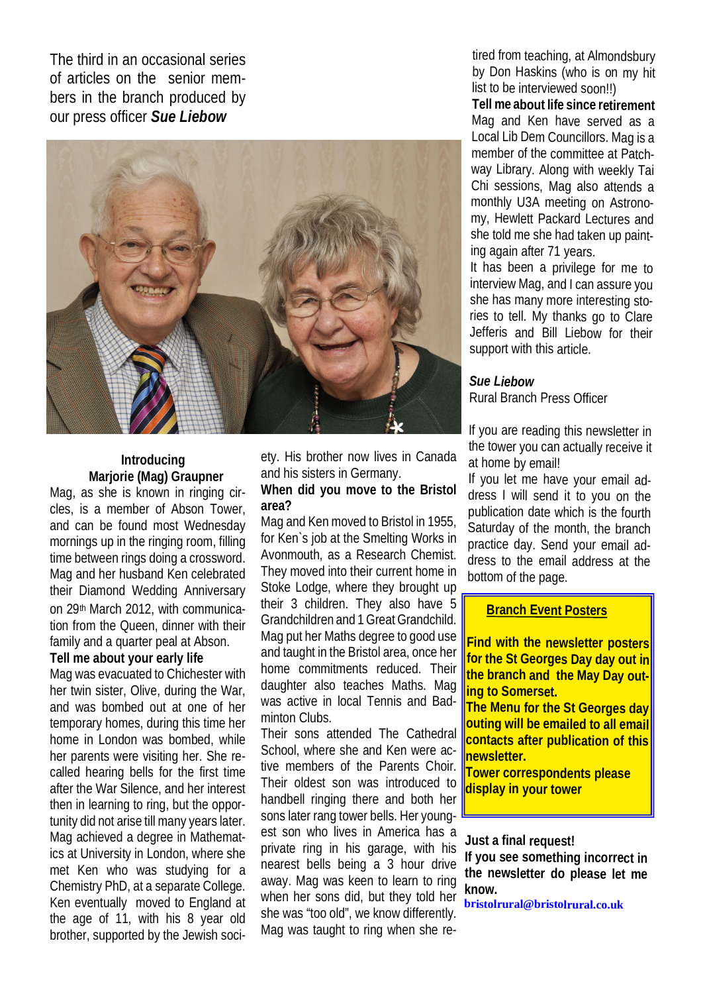The third in an occasional series of articles on the senior members in the branch produced by our press officer *Sue Liebow*



### **Introducing Marjorie (Mag) Graupner**

Mag, as she is known in ringing circles, is a member of Abson Tower, and can be found most Wednesday mornings up in the ringing room, filling time between rings doing a crossword. Mag and her husband Ken celebrated their Diamond Wedding Anniversary on 29th March 2012, with communication from the Queen, dinner with their family and a quarter peal at Abson.

## **Tell me about your early life**

Mag was evacuated to Chichester with her twin sister, Olive, during the War, and was bombed out at one of her temporary homes, during this time her home in London was bombed, while her parents were visiting her. She recalled hearing bells for the first time after the War Silence, and her interest then in learning to ring, but the opportunity did not arise till many years later. Mag achieved a degree in Mathematics at University in London, where she met Ken who was studying for a Chemistry PhD, at a separate College. Ken eventually moved to England at the age of 11, with his 8 year old brother, supported by the Jewish society. His brother now lives in Canada and his sisters in Germany.

### **When did you move to the Bristol area?**

Mag and Ken moved to Bristol in 1955, for Ken`s job at the Smelting Works in Avonmouth, as a Research Chemist. They moved into their current home in Stoke Lodge, where they brought up their 3 children. They also have 5 Grandchildren and 1 Great Grandchild. Mag put her Maths degree to good use and taught in the Bristol area, once her home commitments reduced. Their daughter also teaches Maths. Mag was active in local Tennis and Badminton Clubs.

Their sons attended The Cathedral School, where she and Ken were active members of the Parents Choir. Their oldest son was introduced to handbell ringing there and both her sons later rang tower bells. Her youngest son who lives in America has a private ring in his garage, with his nearest bells being a 3 hour drive away. Mag was keen to learn to ring when her sons did, but they told her she was "too old", we know differently. Mag was taught to ring when she re-

tired from teaching, at Almondsbury by Don Haskins (who is on my hit list to be interviewed soon!!)

**Tell me about life since retirement** Mag and Ken have served as a Local Lib Dem Councillors. Mag is a member of the committee at Patchway Library. Along with weekly Tai Chi sessions, Mag also attends a monthly U3A meeting on Astronomy, Hewlett Packard Lectures and she told me she had taken up painting again after 71 years.

It has been a privilege for me to interview Mag, and I can assure you she has many more interesting stories to tell. My thanks go to Clare Jefferis and Bill Liebow for their support with this article.

# *Sue Liebow*

Rural Branch Press Officer

If you are reading this newsletter in the tower you can actually receive it at home by email!

If you let me have your email address I will send it to you on the publication date which is the fourth Saturday of the month, the branch practice day. Send your email address to the email address at the bottom of the page.

## **Branch Event Posters**

**Find with the newsletter posters for the St Georges Day day out in the branch and the May Day outing to Somerset.** 

**The Menu for the St Georges day outing will be emailed to all email contacts after publication of this newsletter.**

**Tower correspondents please display in your tower**

**Just a final request!**

**If you see something incorrect in the newsletter do please let me know.**

**bristolrural@bristolrural.co.uk**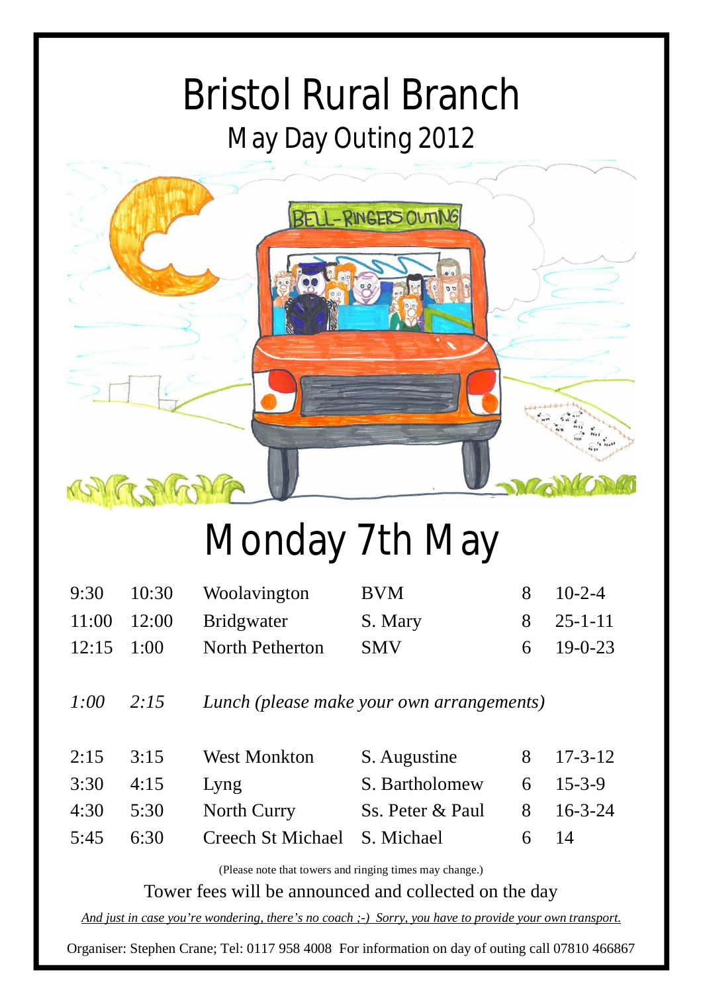# Bristol Rural Branch May Day Outing 2012



# Monday 7th May

|                | $9:30$ $10:30$ Woolavington | <b>BVM</b> | 8 10-2-4              |
|----------------|-----------------------------|------------|-----------------------|
|                | $11:00$ $12:00$ Bridgwater  | S. Mary    | 8 25-1-11             |
| $12:15$ $1:00$ | North Petherton             | <b>SMV</b> | $6 \quad 19 - 0 - 23$ |

*1:00 2:15 Lunch (please make your own arrangements)*

| 2:15 | 3:15              | <b>West Monkton</b>          | S. Augustine     | 8 17-3-12            |
|------|-------------------|------------------------------|------------------|----------------------|
|      | $3:30 \quad 4:15$ | Lyng                         | S. Bartholomew   | $6 \quad 15 - 3 - 9$ |
|      | $4:30$ $5:30$     | North Curry                  | Ss. Peter & Paul | 8 16-3-24            |
|      | $5:45$ $6:30$     | Creech St Michael S. Michael |                  | 6 $14$               |

(Please note that towers and ringing times may change.)

Tower fees will be announced and collected on the day

*And just in case you're wondering, there's no coach ;-) Sorry, you have to provide your own transport.*

Organiser: Stephen Crane; Tel: 0117 958 4008 For information on day of outing call 07810 466867